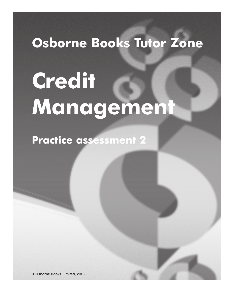# **Osborne Books Tutor Zone**

# **Credit Management**

**Practice assessment 2**

**© Osborne Books Limited, 2016**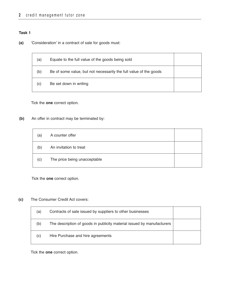**(a)** 'Consideration' in a contract of sale for goods must:

| (a) | Equate to the full value of the goods being sold                  |  |
|-----|-------------------------------------------------------------------|--|
| (b) | Be of some value, but not necessarily the full value of the goods |  |
| (c) | Be set down in writing                                            |  |

Tick the **one** correct option.

**(b)** An offer in contract may be terminated by:

| (a) | A counter offer              |  |
|-----|------------------------------|--|
| (b) | An invitation to treat       |  |
| (c) | The price being unacceptable |  |

Tick the **one** correct option.

**(c)** The Consumer Credit Act covers:

| (a) | Contracts of sale issued by suppliers to other businesses              |  |
|-----|------------------------------------------------------------------------|--|
| (b) | The description of goods in publicity material issued by manufacturers |  |
| (c) | Hire Purchase and hire agreements                                      |  |

Tick the **one** correct option.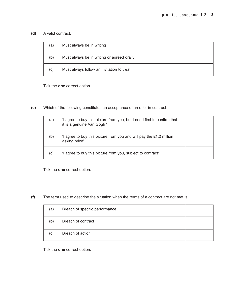# **(d)** A valid contract:

| (a) | Must always be in writing                  |  |
|-----|--------------------------------------------|--|
| (b) | Must always be in writing or agreed orally |  |
| (c) | Must always follow an invitation to treat  |  |

Tick the **one** correct option.

**(e)** Which of the following constitutes an acceptance of an offer in contract:

| (a) | 'I agree to buy this picture from you, but I need first to confirm that<br>it is a genuine Van Gogh" |  |
|-----|------------------------------------------------------------------------------------------------------|--|
| (b) | 'I agree to buy this picture from you and will pay the £1.2 million<br>asking price'                 |  |
| (C) | 'I agree to buy this picture from you, subject to contract'                                          |  |

Tick the **one** correct option.

**(f)** The term used to describe the situation when the terms of a contract are not met is:

| (a) | Breach of specific performance |  |
|-----|--------------------------------|--|
| (b) | Breach of contract             |  |
| (c) | Breach of action               |  |

Tick the **one** correct option.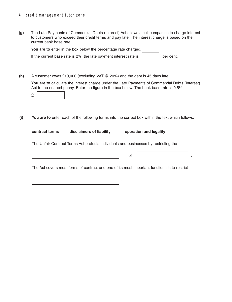**(g)** The Late Payments of Commercial Debts (Interest) Act allows small companies to charge interest to customers who exceed their credit terms and pay late. The interest charge is based on the current bank base rate.

| You are to enter in the box below the percentage rate charged.    |  |           |
|-------------------------------------------------------------------|--|-----------|
| If the current base rate is 2%, the late payment interest rate is |  | per cent. |

**(h)** A customer owes £10,000 (excluding VAT @ 20%) and the debt is 45 days late.

**You are to** calculate the interest charge under the Late Payments of Commercial Debts (Interest) Act to the nearest penny. Enter the figure in the box below. The bank base rate is 0.5%.

|--|--|

**(i) You are to** enter each of the following terms into the correct box within the text which follows.

| contract terms | disclaimers of liability | operation and legality |
|----------------|--------------------------|------------------------|
|                |                          |                        |

The Unfair Contract Terms Act protects individuals and businesses by restricting the

The Act covers most forms of contract and one of its most important functions is to restrict

.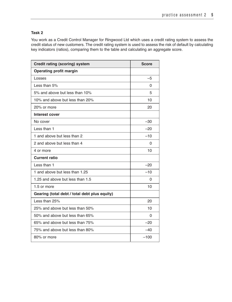You work as a Credit Control Manager for Ringwood Ltd which uses a credit rating system to assess the credit status of new customers. The credit rating system is used to assess the risk of default by calculating key indicators (ratios), comparing them to the table and calculating an aggregate score.

| <b>Credit rating (scoring) system</b>         | <b>Score</b> |
|-----------------------------------------------|--------------|
| <b>Operating profit margin</b>                |              |
| Losses                                        | $-5$         |
| Less than 5%                                  | 0            |
| 5% and above but less than 10%                | 5            |
| 10% and above but less than 20%               | 10           |
| 20% or more                                   | 20           |
| <b>Interest cover</b>                         |              |
| No cover                                      | $-30$        |
| Less than 1                                   | $-20$        |
| 1 and above but less than 2                   | $-10$        |
| 2 and above but less than 4                   | 0            |
| 4 or more                                     | 10           |
| Current ratio                                 |              |
| Less than 1                                   | $-20$        |
| 1 and above but less than 1.25                | $-10$        |
| 1.25 and above but less than 1.5              | 0            |
| 1.5 or more                                   | 10           |
| Gearing (total debt / total debt plus equity) |              |
| Less than 25%                                 | 20           |
| 25% and above but less than 50%               | 10           |
| 50% and above but less than 65%               | 0            |
| 65% and above but less than 75%               | $-20$        |
| 75% and above but less than 80%               | $-40$        |
| 80% or more                                   | $-100$       |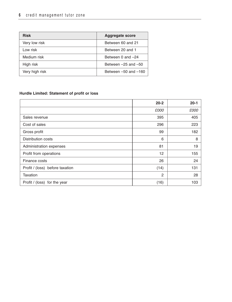| <b>Risk</b>    | <b>Aggregate score</b>   |
|----------------|--------------------------|
| Very low risk  | Between 60 and 21        |
| Low risk       | Between 20 and 1         |
| Medium risk    | Between 0 and -24        |
| High risk      | Between $-25$ and $-50$  |
| Very high risk | Between $-50$ and $-160$ |

# **Hurdle Limited: Statement of profit or loss**

|                                 | $20 - 2$       | $20 - 1$ |
|---------------------------------|----------------|----------|
|                                 | £000           | £000     |
| Sales revenue                   | 395            | 405      |
| Cost of sales                   | 296            | 223      |
| Gross profit                    | 99             | 182      |
| <b>Distribution costs</b>       | 6              | 8        |
| Administration expenses         | 81             | 19       |
| Profit from operations          | 12             | 155      |
| Finance costs                   | 26             | 24       |
| Profit / (loss) before taxation | (14)           | 131      |
| Taxation                        | $\overline{c}$ | 28       |
| Profit / (loss) for the year    | (16)           | 103      |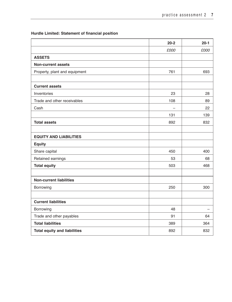# **Hurdle Limited: Statement of financial position**

|                                     | $20 - 2$                 | $20 - 1$ |
|-------------------------------------|--------------------------|----------|
|                                     | £000                     | £000     |
| <b>ASSETS</b>                       |                          |          |
| <b>Non-current assets</b>           |                          |          |
| Property, plant and equipment       | 761                      | 693      |
|                                     |                          |          |
| <b>Current assets</b>               |                          |          |
| Inventories                         | 23                       | 28       |
| Trade and other receivables         | 108                      | 89       |
| Cash                                | $\overline{\phantom{0}}$ | 22       |
|                                     | 131                      | 139      |
| <b>Total assets</b>                 | 892                      | 832      |
|                                     |                          |          |
| <b>EQUITY AND LIABILITIES</b>       |                          |          |
| <b>Equity</b>                       |                          |          |
| Share capital                       | 450                      | 400      |
| Retained earnings                   | 53                       | 68       |
| <b>Total equity</b>                 | 503                      | 468      |
|                                     |                          |          |
| <b>Non-current liabilities</b>      |                          |          |
| Borrowing                           | 250                      | 300      |
|                                     |                          |          |
| <b>Current liabilities</b>          |                          |          |
| Borrowing                           | 48                       |          |
| Trade and other payables            | 91                       | 64       |
| <b>Total liabilities</b>            | 389                      | 364      |
| <b>Total equity and liabilities</b> | 892                      | 832      |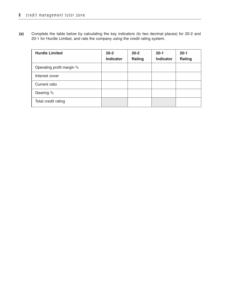**(a)** Complete the table below by calculating the key indicators (to two decimal places) for 20-2 and 20-1 for Hurdle Limited, and rate the company using the credit rating system.

| <b>Hurdle Limited</b>     | $20 - 2$<br><b>Indicator</b> | $20 - 2$<br>Rating | $20 - 1$<br><b>Indicator</b> | $20-1$<br>Rating |
|---------------------------|------------------------------|--------------------|------------------------------|------------------|
| Operating profit margin % |                              |                    |                              |                  |
| Interest cover            |                              |                    |                              |                  |
| Current ratio             |                              |                    |                              |                  |
| Gearing %                 |                              |                    |                              |                  |
| Total credit rating       |                              |                    |                              |                  |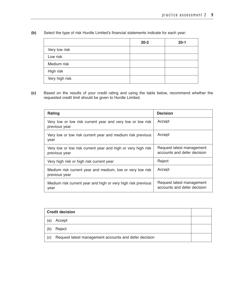**(b)** Select the type of risk Hurdle Limited's financial statements indicate for each year:

|                | $20 - 2$ | $20 - 1$ |
|----------------|----------|----------|
| Very low risk  |          |          |
| Low risk       |          |          |
| Medium risk    |          |          |
| High risk      |          |          |
| Very high risk |          |          |

**(c)** Based on the results of your credit rating and using the table below, recommend whether the requested credit limit should be given to Hurdle Limited.

| <b>Rating</b>                                                                 | <b>Decision</b>                                          |
|-------------------------------------------------------------------------------|----------------------------------------------------------|
| Very low or low risk current year and very low or low risk<br>previous year   | Accept                                                   |
| Very low or low risk current year and medium risk previous<br>year            | Accept                                                   |
| Very low or low risk current year and high or very high risk<br>previous year | Request latest management<br>accounts and defer decision |
| Very high risk or high risk current year                                      | Reject                                                   |
| Medium risk current year and medium, low or very low risk<br>previous year    | Accept                                                   |
| Medium risk current year and high or very high risk previous<br>year          | Request latest management<br>accounts and defer decision |

|     | <b>Credit decision</b>                                |  |
|-----|-------------------------------------------------------|--|
| (a) | Accept                                                |  |
| (b) | Reject                                                |  |
| (C) | Request latest management accounts and defer decision |  |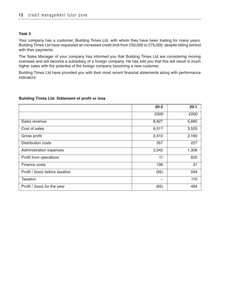Your company has a customer, Building Times Ltd, with whom they have been trading for many years. Building Times Ltd have requested an increased credit limit from £50,000 to £75,000, despite falling behind with their payments.

The Sales Manager of your company has informed you that Building Times Ltd are considering moving overseas and will become a subsidiary of a foreign company. He has told you that this will result in much higher sales with the potential of the foreign company becoming a new customer.

Building Times Ltd have provided you with their most recent financial statements along with performance indicators:

#### **Building Times Ltd: Statement of profit or loss**

|                                 | $20 - 2$ | $20 - 1$ |
|---------------------------------|----------|----------|
|                                 | £000     | £000     |
| Sales revenue                   | 8,927    | 5,685    |
| Cost of sales                   | 6,517    | 3,525    |
| Gross profit                    | 2,410    | 2,160    |
| Distribution costs              | 357      | 227      |
| Administration expenses         | 2,042    | 1,308    |
| Profit from operations          | 11       | 625      |
| Finance costs                   | 106      | 31       |
| Profit / (loss) before taxation | (95)     | 594      |
| Taxation                        | -        | 110      |
| Profit / (loss) for the year    | (95)     | 484      |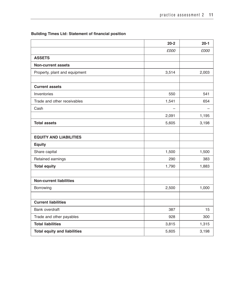**Building Times Ltd: Statement of financial position**

|                                     | $20 - 2$ | $20 - 1$ |
|-------------------------------------|----------|----------|
|                                     | £000     | £000     |
| <b>ASSETS</b>                       |          |          |
| <b>Non-current assets</b>           |          |          |
| Property, plant and equipment       | 3,514    | 2,003    |
|                                     |          |          |
| <b>Current assets</b>               |          |          |
| Inventories                         | 550      | 541      |
| Trade and other receivables         | 1,541    | 654      |
| Cash                                |          |          |
|                                     | 2,091    | 1,195    |
| <b>Total assets</b>                 | 5,605    | 3,198    |
|                                     |          |          |
| <b>EQUITY AND LIABILITIES</b>       |          |          |
| <b>Equity</b>                       |          |          |
| Share capital                       | 1,500    | 1,500    |
| Retained earnings                   | 290      | 383      |
| <b>Total equity</b>                 | 1,790    | 1,883    |
|                                     |          |          |
| <b>Non-current liabilities</b>      |          |          |
| Borrowing                           | 2,500    | 1,000    |
|                                     |          |          |
| <b>Current liabilities</b>          |          |          |
| Bank overdraft                      | 387      | 15       |
| Trade and other payables            | 928      | 300      |
| <b>Total liabilities</b>            | 3,815    | 1,315    |
| <b>Total equity and liabilities</b> | 5,605    | 3,198    |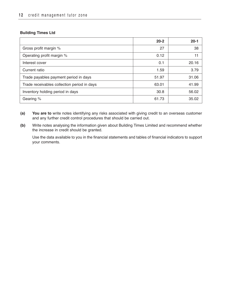# **Building Times Ltd**

|                                             | $20 - 2$ | $20-1$ |
|---------------------------------------------|----------|--------|
| Gross profit margin %                       | 27       | 38     |
| Operating profit margin %                   | 0.12     | 11     |
| Interest cover                              | 0.1      | 20.16  |
| Current ratio                               | 1.59     | 3.79   |
| Trade payables payment period in days       | 51.97    | 31.06  |
| Trade receivables collection period in days | 63.01    | 41.99  |
| Inventory holding period in days            | 30.8     | 56.02  |
| Gearing %                                   | 61.73    | 35.02  |

- **(a) You are to** write notes identifying any risks associated with giving credit to an overseas customer and any further credit control procedures that should be carried out.
- **(b)** Write notes analysing the information given about Building Times Limited and recommend whether the increase in credit should be granted.

Use the data available to you in the financial statements and tables of financial indicators to support your comments.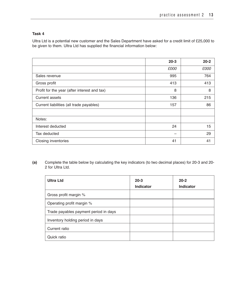Ultra Ltd is a potential new customer and the Sales Department have asked for a credit limit of £25,000 to be given to them. Ultra Ltd has supplied the financial information below:

|                                              | $20 - 3$ | $20 - 2$ |
|----------------------------------------------|----------|----------|
|                                              | £000     | £000     |
| Sales revenue                                | 995      | 764      |
| Gross profit                                 | 413      | 413      |
| Profit for the year (after interest and tax) | 8        | 8        |
| <b>Current assets</b>                        | 136      | 215      |
| Current liabilities (all trade payables)     | 157      | 86       |
|                                              |          |          |
| Notes:                                       |          |          |
| Interest deducted                            | 24       | 15       |
| Tax deducted                                 | -        | 29       |
| Closing inventories                          | 41       | 41       |

**(a)** Complete the table below by calculating the key indicators (to two decimal places) for 20-3 and 20- 2 for Ultra Ltd.

| <b>Ultra Ltd</b>                      | $20 - 3$<br><b>Indicator</b> | $20 - 2$<br><b>Indicator</b> |
|---------------------------------------|------------------------------|------------------------------|
| Gross profit margin %                 |                              |                              |
| Operating profit margin %             |                              |                              |
| Trade payables payment period in days |                              |                              |
| Inventory holding period in days      |                              |                              |
| Current ratio                         |                              |                              |
| Quick ratio                           |                              |                              |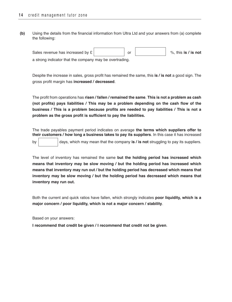**(b)** Using the details from the financial information from Ultra Ltd and your answers from (a) complete the following:

| Sales revenue has increased by £                        |  | $\%$ . this is / is not |
|---------------------------------------------------------|--|-------------------------|
| a strong indicator that the company may be overtrading. |  |                         |

Despite the increase in sales, gross profit has remained the same, this **is / is not** a good sign. The gross profit margin has **increased / decreased**.

The profit from operations has **risen / fallen / remained the same**. **This is not a problem as cash (not profits) pays liabilities / This may be a problem depending on the cash flow of the business / This is a problem because profits are needed to pay liabilities / This is not a problem as the gross profit is sufficient to pay the liabilities.**

The trade payables payment period indicates on average **the terms which suppliers offer to their customers / how long a business takes to pay its suppliers**. In this case it has increased

by days, which may mean that the company **is / is not** struggling to pay its suppliers.

The level of inventory has remained the same **but the holding period has increased which means that inventory may be slow moving / but the holding period has increased which means that inventory may run out / but the holding period has decreased which means that inventory may be slow moving / but the holding period has decreased which means that inventory may run out.**

Both the current and quick ratios have fallen, which strongly indicates **poor liquidity, which is a major concern / poor liquidity, which is not a major concern / stability**.

Based on your answers:

**I recommend that credit be given / I recommend that credit not be given**.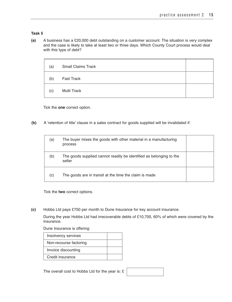**(a)** A business has a £20,000 debt outstanding on a customer account. The situation is very complex and the case is likely to take at least two or three days. Which County Court process would deal with this type of debt?

| (a) | <b>Small Claims Track</b> |  |
|-----|---------------------------|--|
| (b) | <b>Fast Track</b>         |  |
| (c) | Multi Track               |  |

Tick the **one** correct option.

**(b)** A 'retention of title' clause in a sales contract for goods supplied will be invalidated if:

| (a) | The buyer mixes the goods with other material in a manufacturing<br>process   |  |
|-----|-------------------------------------------------------------------------------|--|
| (b) | The goods supplied cannot readily be identified as belonging to the<br>seller |  |
| (c) | The goods are in transit at the time the claim is made                        |  |

Tick the **two** correct options.

**(c)** Hobbs Ltd pays £750 per month to Dune Insurance for key account insurance.

During the year Hobbs Ltd had irrecoverable debts of £10,700, 60% of which were covered by the insurance.

Dune Insurance is offering:

| Insolvency services    |  |
|------------------------|--|
| Non-recourse factoring |  |
| Invoice discounting    |  |
| Credit insurance       |  |

The overall cost to Hobbs Ltd for the year is: £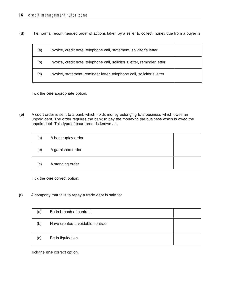**(d)** The normal recommended order of actions taken by a seller to collect money due from a buyer is:

| (a) | Invoice, credit note, telephone call, statement, solicitor's letter       |  |
|-----|---------------------------------------------------------------------------|--|
| (b) | Invoice, credit note, telephone call, solicitor's letter, reminder letter |  |
| (c) | Invoice, statement, reminder letter, telephone call, solicitor's letter   |  |

Tick the **one** appropriate option.

**(e)** A court order is sent to a bank which holds money belonging to a business which owes an unpaid debt. The order requires the bank to pay the money to the business which is owed the unpaid debt. This type of court order is known as:

| (a) | A bankruptcy order |  |
|-----|--------------------|--|
| (b) | A garnishee order  |  |
| (c) | A standing order   |  |

Tick the **one** correct option.

**(f)** A company that fails to repay a trade debt is said to:

| (a) | Be in breach of contract         |  |
|-----|----------------------------------|--|
| (b) | Have created a voidable contract |  |
| (c) | Be in liquidation                |  |

Tick the **one** correct option.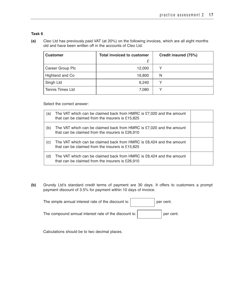**(a)** Cleo Ltd has previously paid VAT (at 20%) on the following invoices, which are all eight months old and have been written off in the accounts of Cleo Ltd:

| <b>Customer</b>         | <b>Total invoiced to customer</b> | Credit insured (75%) |
|-------------------------|-----------------------------------|----------------------|
|                         | £                                 |                      |
| Career Group Plc        | 12,000                            | v                    |
| Highland and Co         | 16,800                            | N                    |
| Singh Ltd               | 6,240                             | v                    |
| <b>Tennis Times Ltd</b> | 7,080                             | $\checkmark$         |

Select the correct answer:

| (a) | The VAT which can be claimed back from HMRC is £7,020 and the amount<br>that can be claimed from the insurers is £15,825 |  |
|-----|--------------------------------------------------------------------------------------------------------------------------|--|
| (b) | The VAT which can be claimed back from HMRC is £7,020 and the amount<br>that can be claimed from the insurers is £26,910 |  |
| (C) | The VAT which can be claimed back from HMRC is £8,424 and the amount<br>that can be claimed from the insurers is £15,825 |  |
| (d) | The VAT which can be claimed back from HMRC is £8,424 and the amount<br>that can be claimed from the insurers is £26,910 |  |

**(b)** Grundy Ltd's standard credit terms of payment are 30 days. It offers to customers a prompt payment discount of 3.5% for payment within 10 days of invoice.

| The simple annual interest rate of the discount is:   | per cent. |
|-------------------------------------------------------|-----------|
| The compound annual interest rate of the discount is: | per cent. |

Calculations should be to two decimal places.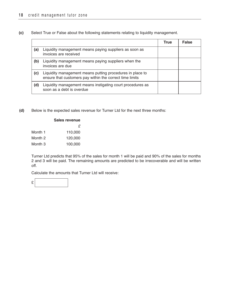**(c)** Select True or False about the following statements relating to liquidity management.

|     |                                                                                                                       | True | <b>False</b> |
|-----|-----------------------------------------------------------------------------------------------------------------------|------|--------------|
| (a) | Liquidity management means paying suppliers as soon as<br>invoices are received                                       |      |              |
| (b) | Liquidity management means paying suppliers when the<br>invoices are due                                              |      |              |
| (c) | Liquidity management means putting procedures in place to<br>ensure that customers pay within the correct time limits |      |              |
| (d) | Liquidity management means instigating court procedures as<br>soon as a debt is overdue                               |      |              |

**(d)** Below is the expected sales revenue for Turner Ltd for the next three months:

|         | <b>Sales revenue</b> |
|---------|----------------------|
|         | £                    |
| Month 1 | 110,000              |
| Month 2 | 120,000              |
| Month 3 | 100,000              |

Turner Ltd predicts that 95% of the sales for month 1 will be paid and 90% of the sales for months 2 and 3 will be paid. The remaining amounts are predicted to be irrecoverable and will be written off.

Calculate the amounts that Turner Ltd will receive:

£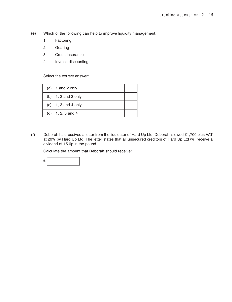- **(e)** Which of the following can help to improve liquidity management:
	- 1 Factoring
	- 2 Gearing
	- 3 Credit insurance
	- 4 Invoice discounting

Select the correct answer:

| (a) $1$ and $2$ only  |  |
|-----------------------|--|
| (b) $1, 2$ and 3 only |  |
| $(c)$ 1, 3 and 4 only |  |
| (d) $1, 2, 3$ and 4   |  |

**(f)** Deborah has received a letter from the liquidator of Hard Up Ltd. Deborah is owed £1,700 plus VAT at 20% by Hard Up Ltd. The letter states that all unsecured creditors of Hard Up Ltd will receive a dividend of 15.6p in the pound.

Calculate the amount that Deborah should receive:

£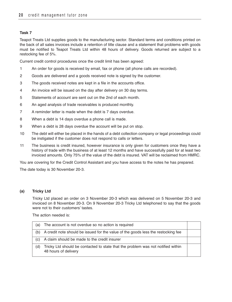Teapot Treats Ltd supplies goods to the manufacturing sector. Standard terms and conditions printed on the back of all sales invoices include a retention of title clause and a statement that problems with goods must be notified to Teapot Treats Ltd within 48 hours of delivery. Goods returned are subject to a restocking fee of 5%.

Current credit control procedures once the credit limit has been agreed:

- 1 An order for goods is received by email, fax or phone (all phone calls are recorded).
- 2 Goods are delivered and a goods received note is signed by the customer.
- 3 The goods received notes are kept in a file in the accounts office.
- 4 An invoice will be issued on the day after delivery on 30 day terms.
- 5 Statements of account are sent out on the 2nd of each month.
- 6 An aged analysis of trade receivables is produced monthly.
- 7 A reminder letter is made when the debt is 7 days overdue.
- 8 When a debt is 14 days overdue a phone call is made.
- 9 When a debt is 28 days overdue the account will be put on stop.
- 10 The debt will either be placed in the hands of a debt collection company or legal proceedings could be instigated if the customer does not respond to calls or letters.
- 11 The business is credit insured, however insurance is only given for customers once they have a history of trade with the business of at least 12 months and have successfully paid for at least two invoiced amounts. Only 75% of the value of the debt is insured. VAT will be reclaimed from HMRC.

You are covering for the Credit Control Assistant and you have access to the notes he has prepared.

The date today is 30 November 20-3.

# **(a) Tricky Ltd**

Tricky Ltd placed an order on 3 November 20-3 which was delivered on 5 November 20-3 and invoiced on 8 November 20-3. On 9 November 20-3 Tricky Ltd telephoned to say that the goods were not to their customers' tastes.

The action needed is:

| (a) | The account is not overdue so no action is required                                                      |  |
|-----|----------------------------------------------------------------------------------------------------------|--|
| (b) | A credit note should be issued for the value of the goods less the restocking fee                        |  |
| (c) | A claim should be made to the credit insurer                                                             |  |
| (d) | Tricky Ltd should be contacted to state that the problem was not notified within<br>48 hours of delivery |  |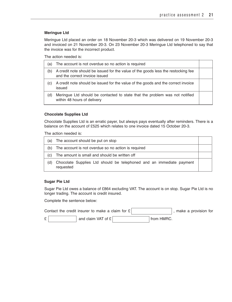### **Meringue Ltd**

Meringue Ltd placed an order on 18 November 20-3 which was delivered on 19 November 20-3 and invoiced on 21 November 20-3. On 23 November 20-3 Meringue Ltd telephoned to say that the invoice was for the incorrect product.

The action needed is:

| (a) | The account is not overdue so no action is required                                                                 |  |
|-----|---------------------------------------------------------------------------------------------------------------------|--|
| (b) | A credit note should be issued for the value of the goods less the restocking fee<br>and the correct invoice issued |  |
| (C) | A credit note should be issued for the value of the goods and the correct invoice<br>issued                         |  |
| (d) | Meringue Ltd should be contacted to state that the problem was not notified<br>within 48 hours of delivery          |  |

#### **Chocolate Supplies Ltd**

Chocolate Supplies Ltd is an erratic payer, but always pays eventually after reminders. There is a balance on the account of £525 which relates to one invoice dated 15 October 20-3.

The action needed is:

| (a) | The account should be put on stop                                                 |  |  |  |
|-----|-----------------------------------------------------------------------------------|--|--|--|
| (b) | The account is not overdue so no action is required                               |  |  |  |
| (C) | The amount is small and should be written off                                     |  |  |  |
| (d) | Chocolate Supplies Ltd should be telephoned and an immediate payment<br>requested |  |  |  |

#### **Sugar Pie Ltd**

Sugar Pie Ltd owes a balance of £864 excluding VAT. The account is on stop. Sugar Pie Ltd is no longer trading. The account is credit insured.

Complete the sentence below:

|         | Contact the credit insurer to make a claim for $E$ |            | , make a provision for |
|---------|----------------------------------------------------|------------|------------------------|
| t.<br>∸ | and claim VAT of £                                 | from HMRC. |                        |